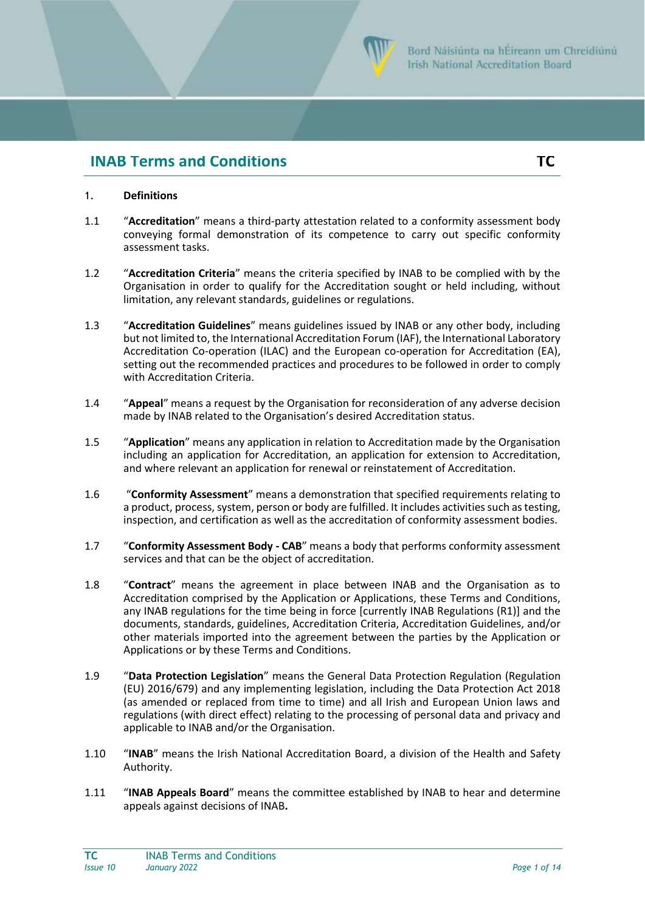

# **INAB Terms and Conditions TC**

# 1. **Definitions**

- 1.1 "**Accreditation**" means a third-party attestation related to a conformity assessment body conveying formal demonstration of its competence to carry out specific conformity assessment tasks.
- 1.2 "**Accreditation Criteria**" means the criteria specified by INAB to be complied with by the Organisation in order to qualify for the Accreditation sought or held including, without limitation, any relevant standards, guidelines or regulations.
- 1.3 "**Accreditation Guidelines**" means guidelines issued by INAB or any other body, including but not limited to, the International Accreditation Forum (IAF), the International Laboratory Accreditation Co-operation (ILAC) and the European co-operation for Accreditation (EA), setting out the recommended practices and procedures to be followed in order to comply with Accreditation Criteria.
- 1.4 "**Appeal**" means a request by the Organisation for reconsideration of any adverse decision made by INAB related to the Organisation's desired Accreditation status.
- 1.5 "**Application**" means any application in relation to Accreditation made by the Organisation including an application for Accreditation, an application for extension to Accreditation, and where relevant an application for renewal or reinstatement of Accreditation.
- 1.6 "**Conformity Assessment**" means a demonstration that specified requirements relating to a product, process, system, person or body are fulfilled. It includes activities such as testing, inspection, and certification as well as the accreditation of conformity assessment bodies.
- 1.7 "**Conformity Assessment Body - CAB**" means a body that performs conformity assessment services and that can be the object of accreditation.
- 1.8 "**Contract**" means the agreement in place between INAB and the Organisation as to Accreditation comprised by the Application or Applications, these Terms and Conditions, any INAB regulations for the time being in force [currently [INAB Regulations \(R1\)\] and t](https://www.inab.ie/Documents-Forms/Mandatory/R1-INAB-Regulations.pdf)he documents, standards, guidelines, Accreditation Criteria, Accreditation Guidelines, and/or other materials imported into the agreement between the parties by the Application or Applications or by these Terms and Conditions.
- 1.9 "**Data Protection Legislation**" means the General Data Protection Regulation (Regulation (EU) 2016/679) and any implementing legislation, including the Data Protection Act 2018 (as amended or replaced from time to time) and all Irish and European Union laws and regulations (with direct effect) relating to the processing of personal data and privacy and applicable to INAB and/or the Organisation.
- 1.10 "**INAB**" means the Irish National Accreditation Board, a division of the Health and Safety Authority.
- 1.11 "**INAB Appeals Board**" means the committee established by INAB to hear and determine appeals against decisions of INAB**.**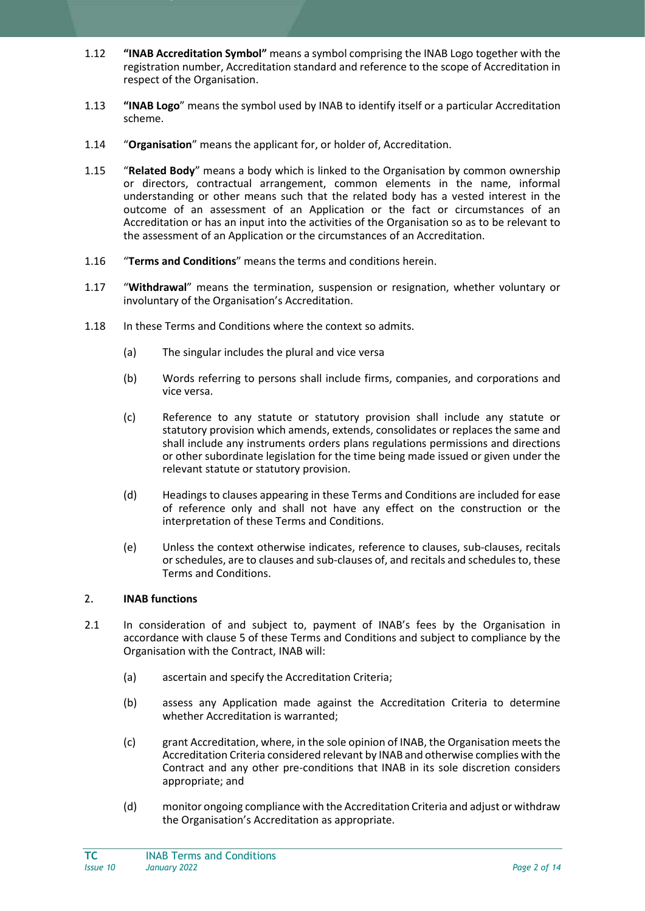- 1.12 **"INAB Accreditation Symbol"** means a symbol comprising the INAB Logo together with the registration number, Accreditation standard and reference to the scope of Accreditation in respect of the Organisation.
- 1.13 **"INAB Logo**" means the symbol used by INAB to identify itself or a particular Accreditation scheme.
- 1.14 "**Organisation**" means the applicant for, or holder of, Accreditation.
- 1.15 "**Related Body**" means a body which is linked to the Organisation by common ownership or directors, contractual arrangement, common elements in the name, informal understanding or other means such that the related body has a vested interest in the outcome of an assessment of an Application or the fact or circumstances of an Accreditation or has an input into the activities of the Organisation so as to be relevant to the assessment of an Application or the circumstances of an Accreditation.
- 1.16 "**Terms and Conditions**" means the terms and conditions herein.
- 1.17 "**Withdrawal**" means the termination, suspension or resignation, whether voluntary or involuntary of the Organisation's Accreditation.
- 1.18 In these Terms and Conditions where the context so admits.
	- (a) The singular includes the plural and vice versa
	- (b) Words referring to persons shall include firms, companies, and corporations and vice versa.
	- (c) Reference to any statute or statutory provision shall include any statute or statutory provision which amends, extends, consolidates or replaces the same and shall include any instruments orders plans regulations permissions and directions or other subordinate legislation for the time being made issued or given under the relevant statute or statutory provision.
	- (d) Headings to clauses appearing in these Terms and Conditions are included for ease of reference only and shall not have any effect on the construction or the interpretation of these Terms and Conditions.
	- (e) Unless the context otherwise indicates, reference to clauses, sub-clauses, recitals or schedules, are to clauses and sub-clauses of, and recitals and schedules to, these Terms and Conditions.

## 2. **INAB functions**

- 2.1 In consideration of and subject to, payment of INAB's fees by the Organisation in accordance with clause 5 of these Terms and Conditions and subject to compliance by the Organisation with the Contract, INAB will:
	- (a) ascertain and specify the Accreditation Criteria;
	- (b) assess any Application made against the Accreditation Criteria to determine whether Accreditation is warranted;
	- (c) grant Accreditation, where, in the sole opinion of INAB, the Organisation meets the Accreditation Criteria considered relevant by INAB and otherwise complies with the Contract and any other pre-conditions that INAB in its sole discretion considers appropriate; and
	- (d) monitor ongoing compliance with the Accreditation Criteria and adjust or withdraw the Organisation's Accreditation as appropriate.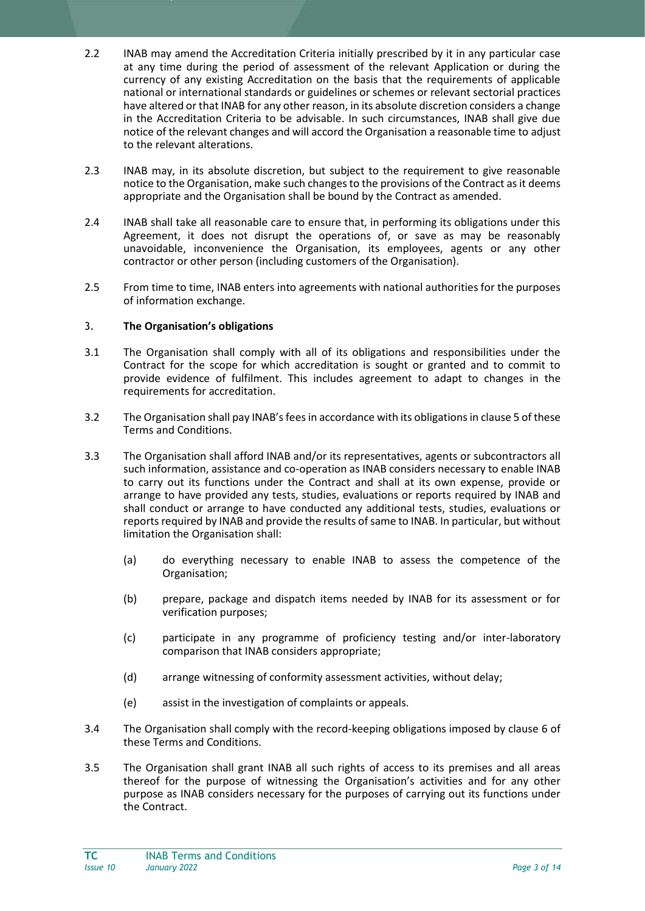- 2.2 INAB may amend the Accreditation Criteria initially prescribed by it in any particular case at any time during the period of assessment of the relevant Application or during the currency of any existing Accreditation on the basis that the requirements of applicable national or international standards or guidelines or schemes or relevant sectorial practices have altered or that INAB for any other reason, in its absolute discretion considers a change in the Accreditation Criteria to be advisable. In such circumstances, INAB shall give due notice of the relevant changes and will accord the Organisation a reasonable time to adjust to the relevant alterations.
- 2.3 INAB may, in its absolute discretion, but subject to the requirement to give reasonable notice to the Organisation, make such changes to the provisions of the Contract as it deems appropriate and the Organisation shall be bound by the Contract as amended.
- 2.4 INAB shall take all reasonable care to ensure that, in performing its obligations under this Agreement, it does not disrupt the operations of, or save as may be reasonably unavoidable, inconvenience the Organisation, its employees, agents or any other contractor or other person (including customers of the Organisation).
- 2.5 From time to time, INAB enters into agreements with national authorities for the purposes of information exchange.

## 3. **The Organisation's obligations**

- 3.1 The Organisation shall comply with all of its obligations and responsibilities under the Contract for the scope for which accreditation is sought or granted and to commit to provide evidence of fulfilment. This includes agreement to adapt to changes in the requirements for accreditation.
- 3.2 The Organisation shall pay INAB's fees in accordance with its obligations in clause 5 of these Terms and Conditions.
- 3.3 The Organisation shall afford INAB and/or its representatives, agents or subcontractors all such information, assistance and co-operation as INAB considers necessary to enable INAB to carry out its functions under the Contract and shall at its own expense, provide or arrange to have provided any tests, studies, evaluations or reports required by INAB and shall conduct or arrange to have conducted any additional tests, studies, evaluations or reports required by INAB and provide the results of same to INAB. In particular, but without limitation the Organisation shall:
	- (a) do everything necessary to enable INAB to assess the competence of the Organisation;
	- (b) prepare, package and dispatch items needed by INAB for its assessment or for verification purposes;
	- (c) participate in any programme of proficiency testing and/or inter-laboratory comparison that INAB considers appropriate;
	- (d) arrange witnessing of conformity assessment activities, without delay;
	- (e) assist in the investigation of complaints or appeals.
- 3.4 The Organisation shall comply with the record-keeping obligations imposed by clause 6 of these Terms and Conditions.
- 3.5 The Organisation shall grant INAB all such rights of access to its premises and all areas thereof for the purpose of witnessing the Organisation's activities and for any other purpose as INAB considers necessary for the purposes of carrying out its functions under the Contract.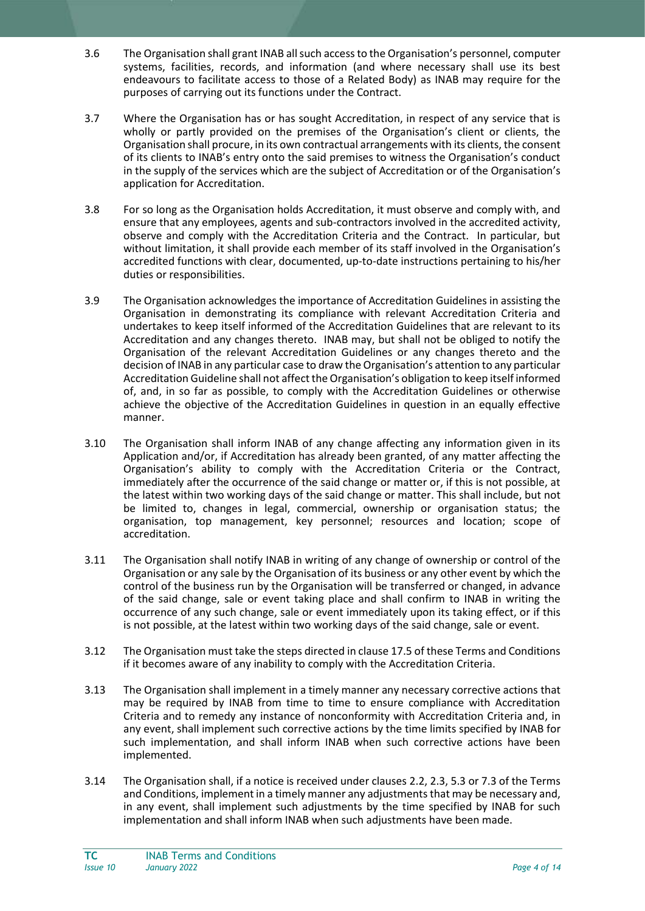- 3.6 The Organisation shall grant INAB all such access to the Organisation's personnel, computer systems, facilities, records, and information (and where necessary shall use its best endeavours to facilitate access to those of a Related Body) as INAB may require for the purposes of carrying out its functions under the Contract.
- 3.7 Where the Organisation has or has sought Accreditation, in respect of any service that is wholly or partly provided on the premises of the Organisation's client or clients, the Organisation shall procure, in its own contractual arrangements with its clients, the consent of its clients to INAB's entry onto the said premises to witness the Organisation's conduct in the supply of the services which are the subject of Accreditation or of the Organisation's application for Accreditation.
- 3.8 For so long as the Organisation holds Accreditation, it must observe and comply with, and ensure that any employees, agents and sub-contractors involved in the accredited activity, observe and comply with the Accreditation Criteria and the Contract. In particular, but without limitation, it shall provide each member of its staff involved in the Organisation's accredited functions with clear, documented, up-to-date instructions pertaining to his/her duties or responsibilities.
- 3.9 The Organisation acknowledges the importance of Accreditation Guidelines in assisting the Organisation in demonstrating its compliance with relevant Accreditation Criteria and undertakes to keep itself informed of the Accreditation Guidelines that are relevant to its Accreditation and any changes thereto. INAB may, but shall not be obliged to notify the Organisation of the relevant Accreditation Guidelines or any changes thereto and the decision of INAB in any particular case to draw the Organisation's attention to any particular Accreditation Guideline shall not affect the Organisation's obligation to keep itself informed of, and, in so far as possible, to comply with the Accreditation Guidelines or otherwise achieve the objective of the Accreditation Guidelines in question in an equally effective manner.
- 3.10 The Organisation shall inform INAB of any change affecting any information given in its Application and/or, if Accreditation has already been granted, of any matter affecting the Organisation's ability to comply with the Accreditation Criteria or the Contract, immediately after the occurrence of the said change or matter or, if this is not possible, at the latest within two working days of the said change or matter. This shall include, but not be limited to, changes in legal, commercial, ownership or organisation status; the organisation, top management, key personnel; resources and location; scope of accreditation.
- 3.11 The Organisation shall notify INAB in writing of any change of ownership or control of the Organisation or any sale by the Organisation of its business or any other event by which the control of the business run by the Organisation will be transferred or changed, in advance of the said change, sale or event taking place and shall confirm to INAB in writing the occurrence of any such change, sale or event immediately upon its taking effect, or if this is not possible, at the latest within two working days of the said change, sale or event.
- 3.12 The Organisation must take the steps directed in clause 17.5 of these Terms and Conditions if it becomes aware of any inability to comply with the Accreditation Criteria.
- 3.13 The Organisation shall implement in a timely manner any necessary corrective actions that may be required by INAB from time to time to ensure compliance with Accreditation Criteria and to remedy any instance of nonconformity with Accreditation Criteria and, in any event, shall implement such corrective actions by the time limits specified by INAB for such implementation, and shall inform INAB when such corrective actions have been implemented.
- 3.14 The Organisation shall, if a notice is received under clauses 2.2, 2.3, 5.3 or 7.3 of the Terms and Conditions, implement in a timely manner any adjustments that may be necessary and, in any event, shall implement such adjustments by the time specified by INAB for such implementation and shall inform INAB when such adjustments have been made.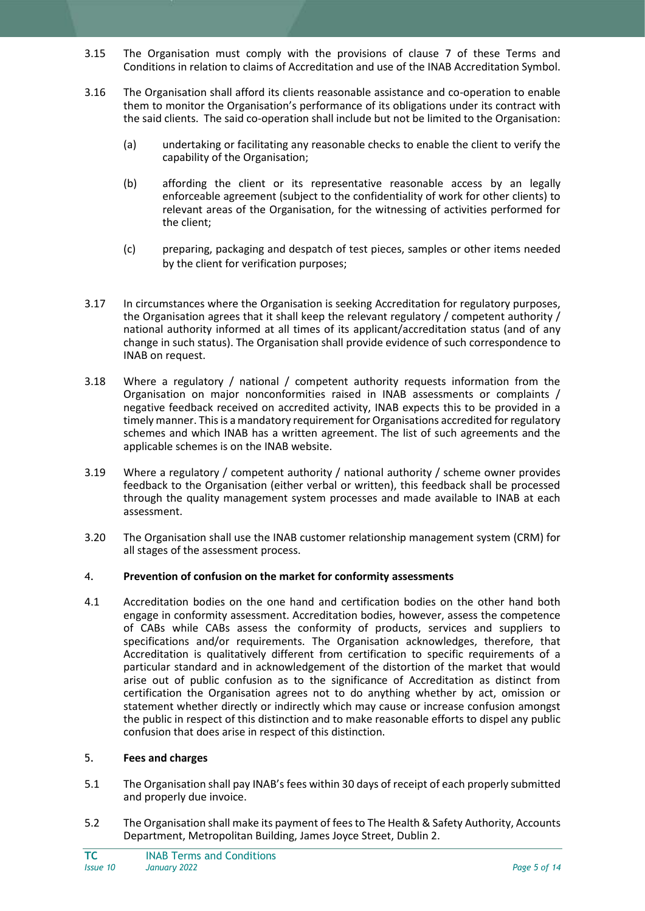- 3.15 The Organisation must comply with the provisions of clause 7 of these Terms and Conditions in relation to claims of Accreditation and use of the INAB Accreditation Symbol.
- 3.16 The Organisation shall afford its clients reasonable assistance and co-operation to enable them to monitor the Organisation's performance of its obligations under its contract with the said clients. The said co-operation shall include but not be limited to the Organisation:
	- (a) undertaking or facilitating any reasonable checks to enable the client to verify the capability of the Organisation;
	- (b) affording the client or its representative reasonable access by an legally enforceable agreement (subject to the confidentiality of work for other clients) to relevant areas of the Organisation, for the witnessing of activities performed for the client;
	- (c) preparing, packaging and despatch of test pieces, samples or other items needed by the client for verification purposes;
- 3.17 In circumstances where the Organisation is seeking Accreditation for regulatory purposes, the Organisation agrees that it shall keep the relevant regulatory / competent authority / national authority informed at all times of its applicant/accreditation status (and of any change in such status). The Organisation shall provide evidence of such correspondence to INAB on request.
- 3.18 Where a regulatory / national / competent authority requests information from the Organisation on major nonconformities raised in INAB assessments or complaints / negative feedback received on accredited activity, INAB expects this to be provided in a timely manner. This is a mandatory requirement for Organisations accredited for regulatory schemes and which INAB has a written agreement. The list of such agreements and the applicable schemes is on the INAB website.
- 3.19 Where a regulatory / competent authority / national authority / scheme owner provides feedback to the Organisation (either verbal or written), this feedback shall be processed through the quality management system processes and made available to INAB at each assessment.
- 3.20 The Organisation shall use the INAB customer relationship management system (CRM) for all stages of the assessment process.

#### 4. **Prevention of confusion on the market for conformity assessments**

4.1 Accreditation bodies on the one hand and certification bodies on the other hand both engage in conformity assessment. Accreditation bodies, however, assess the competence of CABs while CABs assess the conformity of products, services and suppliers to specifications and/or requirements. The Organisation acknowledges, therefore, that Accreditation is qualitatively different from certification to specific requirements of a particular standard and in acknowledgement of the distortion of the market that would arise out of public confusion as to the significance of Accreditation as distinct from certification the Organisation agrees not to do anything whether by act, omission or statement whether directly or indirectly which may cause or increase confusion amongst the public in respect of this distinction and to make reasonable efforts to dispel any public confusion that does arise in respect of this distinction.

#### 5. **Fees and charges**

- 5.1 The Organisation shall pay INAB's fees within 30 days of receipt of each properly submitted and properly due invoice.
- 5.2 The Organisation shall make its payment of fees to The Health & Safety Authority, Accounts Department, Metropolitan Building, James Joyce Street, Dublin 2.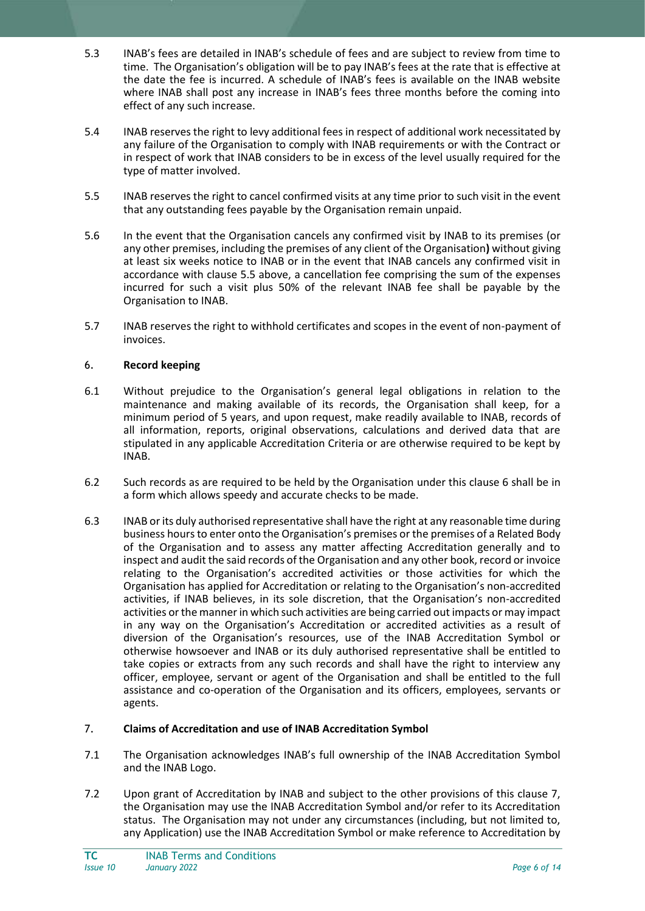- 5.3 INAB's fees are detailed in INAB's schedule of fees and are subject to review from time to time. The Organisation's obligation will be to pay INAB's fees at the rate that is effective at the date the fee is incurred. A schedule of INAB's fees is available on the INAB website where INAB shall post any increase in INAB's fees three months before the coming into effect of any such increase.
- 5.4 INAB reserves the right to levy additional fees in respect of additional work necessitated by any failure of the Organisation to comply with INAB requirements or with the Contract or in respect of work that INAB considers to be in excess of the level usually required for the type of matter involved.
- 5.5 INAB reserves the right to cancel confirmed visits at any time prior to such visit in the event that any outstanding fees payable by the Organisation remain unpaid.
- 5.6 In the event that the Organisation cancels any confirmed visit by INAB to its premises (or any other premises, including the premises of any client of the Organisation**)** without giving at least six weeks notice to INAB or in the event that INAB cancels any confirmed visit in accordance with clause 5.5 above, a cancellation fee comprising the sum of the expenses incurred for such a visit plus 50% of the relevant INAB fee shall be payable by the Organisation to INAB.
- 5.7 INAB reserves the right to withhold certificates and scopes in the event of non-payment of invoices.

## 6. **Record keeping**

- 6.1 Without prejudice to the Organisation's general legal obligations in relation to the maintenance and making available of its records, the Organisation shall keep, for a minimum period of 5 years, and upon request, make readily available to INAB, records of all information, reports, original observations, calculations and derived data that are stipulated in any applicable Accreditation Criteria or are otherwise required to be kept by INAB.
- 6.2 Such records as are required to be held by the Organisation under this clause 6 shall be in a form which allows speedy and accurate checks to be made.
- 6.3 INAB or its duly authorised representative shall have the right at any reasonable time during business hours to enter onto the Organisation's premises or the premises of a Related Body of the Organisation and to assess any matter affecting Accreditation generally and to inspect and audit the said records of the Organisation and any other book, record or invoice relating to the Organisation's accredited activities or those activities for which the Organisation has applied for Accreditation or relating to the Organisation's non-accredited activities, if INAB believes, in its sole discretion, that the Organisation's non-accredited activities or the manner in which such activities are being carried out impacts or may impact in any way on the Organisation's Accreditation or accredited activities as a result of diversion of the Organisation's resources, use of the INAB Accreditation Symbol or otherwise howsoever and INAB or its duly authorised representative shall be entitled to take copies or extracts from any such records and shall have the right to interview any officer, employee, servant or agent of the Organisation and shall be entitled to the full assistance and co-operation of the Organisation and its officers, employees, servants or agents.

# 7. **Claims of Accreditation and use of INAB Accreditation Symbol**

- 7.1 The Organisation acknowledges INAB's full ownership of the INAB Accreditation Symbol and the INAB Logo.
- 7.2 Upon grant of Accreditation by INAB and subject to the other provisions of this clause 7, the Organisation may use the INAB Accreditation Symbol and/or refer to its Accreditation status. The Organisation may not under any circumstances (including, but not limited to, any Application) use the INAB Accreditation Symbol or make reference to Accreditation by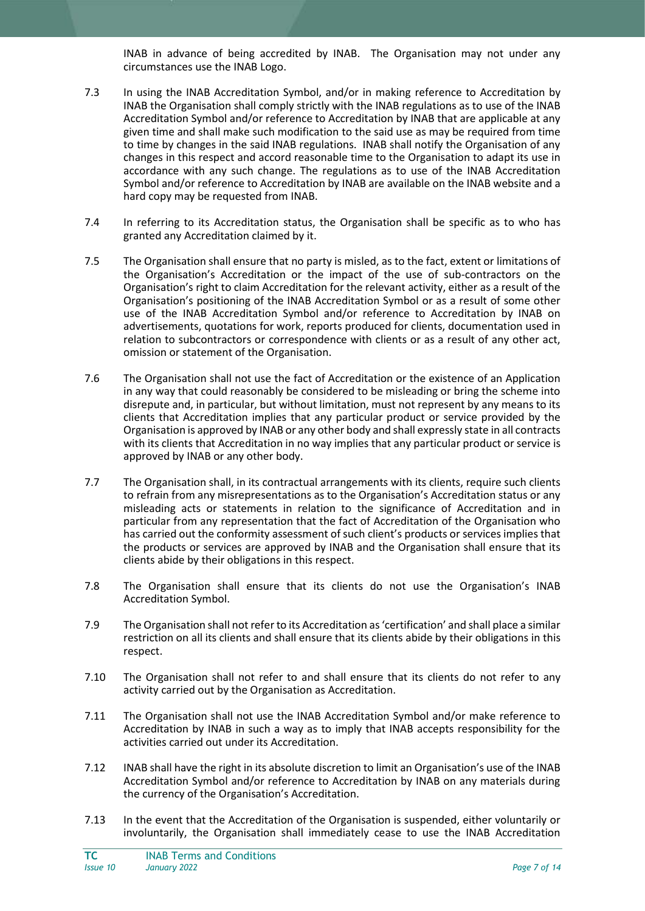INAB in advance of being accredited by INAB. The Organisation may not under any circumstances use the INAB Logo.

- 7.3 In using the INAB Accreditation Symbol, and/or in making reference to Accreditation by INAB the Organisation shall comply strictly with the INAB regulations as to use of the INAB Accreditation Symbol and/or reference to Accreditation by INAB that are applicable at any given time and shall make such modification to the said use as may be required from time to time by changes in the said INAB regulations. INAB shall notify the Organisation of any changes in this respect and accord reasonable time to the Organisation to adapt its use in accordance with any such change. The regulations as to use of the INAB Accreditation Symbol and/or reference to Accreditation by INAB are available on the INAB website and a hard copy may be requested from INAB.
- 7.4 In referring to its Accreditation status, the Organisation shall be specific as to who has granted any Accreditation claimed by it.
- 7.5 The Organisation shall ensure that no party is misled, as to the fact, extent or limitations of the Organisation's Accreditation or the impact of the use of sub-contractors on the Organisation's right to claim Accreditation for the relevant activity, either as a result of the Organisation's positioning of the INAB Accreditation Symbol or as a result of some other use of the INAB Accreditation Symbol and/or reference to Accreditation by INAB on advertisements, quotations for work, reports produced for clients, documentation used in relation to subcontractors or correspondence with clients or as a result of any other act, omission or statement of the Organisation.
- 7.6 The Organisation shall not use the fact of Accreditation or the existence of an Application in any way that could reasonably be considered to be misleading or bring the scheme into disrepute and, in particular, but without limitation, must not represent by any means to its clients that Accreditation implies that any particular product or service provided by the Organisation is approved by INAB or any other body and shall expressly state in all contracts with its clients that Accreditation in no way implies that any particular product or service is approved by INAB or any other body.
- 7.7 The Organisation shall, in its contractual arrangements with its clients, require such clients to refrain from any misrepresentations as to the Organisation's Accreditation status or any misleading acts or statements in relation to the significance of Accreditation and in particular from any representation that the fact of Accreditation of the Organisation who has carried out the conformity assessment of such client's products or services implies that the products or services are approved by INAB and the Organisation shall ensure that its clients abide by their obligations in this respect.
- 7.8 The Organisation shall ensure that its clients do not use the Organisation's INAB Accreditation Symbol.
- 7.9 The Organisation shall not refer to its Accreditation as 'certification' and shall place a similar restriction on all its clients and shall ensure that its clients abide by their obligations in this respect.
- 7.10 The Organisation shall not refer to and shall ensure that its clients do not refer to any activity carried out by the Organisation as Accreditation.
- 7.11 The Organisation shall not use the INAB Accreditation Symbol and/or make reference to Accreditation by INAB in such a way as to imply that INAB accepts responsibility for the activities carried out under its Accreditation.
- 7.12 INAB shall have the right in its absolute discretion to limit an Organisation's use of the INAB Accreditation Symbol and/or reference to Accreditation by INAB on any materials during the currency of the Organisation's Accreditation.
- 7.13 In the event that the Accreditation of the Organisation is suspended, either voluntarily or involuntarily, the Organisation shall immediately cease to use the INAB Accreditation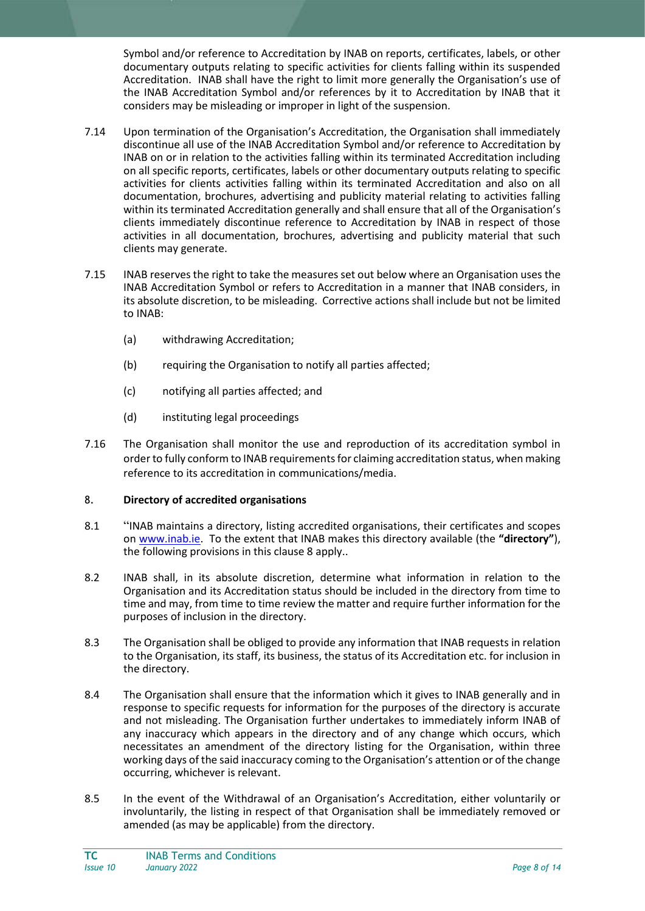Symbol and/or reference to Accreditation by INAB on reports, certificates, labels, or other documentary outputs relating to specific activities for clients falling within its suspended Accreditation. INAB shall have the right to limit more generally the Organisation's use of the INAB Accreditation Symbol and/or references by it to Accreditation by INAB that it considers may be misleading or improper in light of the suspension.

- 7.14 Upon termination of the Organisation's Accreditation, the Organisation shall immediately discontinue all use of the INAB Accreditation Symbol and/or reference to Accreditation by INAB on or in relation to the activities falling within its terminated Accreditation including on all specific reports, certificates, labels or other documentary outputs relating to specific activities for clients activities falling within its terminated Accreditation and also on all documentation, brochures, advertising and publicity material relating to activities falling within its terminated Accreditation generally and shall ensure that all of the Organisation's clients immediately discontinue reference to Accreditation by INAB in respect of those activities in all documentation, brochures, advertising and publicity material that such clients may generate.
- 7.15 INAB reserves the right to take the measures set out below where an Organisation uses the INAB Accreditation Symbol or refers to Accreditation in a manner that INAB considers, in its absolute discretion, to be misleading. Corrective actions shall include but not be limited to INAB:
	- (a) withdrawing Accreditation;
	- (b) requiring the Organisation to notify all parties affected;
	- (c) notifying all parties affected; and
	- (d) instituting legal proceedings
- 7.16 The Organisation shall monitor the use and reproduction of its accreditation symbol in order to fully conform to INAB requirements for claiming accreditation status, when making reference to its accreditation in communications/media.

## 8. **Directory of accredited organisations**

- 8.1 "INAB maintains a directory, listing accredited organisations, their certificates and scopes on [www.inab.ie.](http://www.inab.ie/) To the extent that INAB makes this directory available (the **"directory"**), the following provisions in this clause 8 apply..
- 8.2 INAB shall, in its absolute discretion, determine what information in relation to the Organisation and its Accreditation status should be included in the directory from time to time and may, from time to time review the matter and require further information for the purposes of inclusion in the directory.
- 8.3 The Organisation shall be obliged to provide any information that INAB requests in relation to the Organisation, its staff, its business, the status of its Accreditation etc. for inclusion in the directory.
- 8.4 The Organisation shall ensure that the information which it gives to INAB generally and in response to specific requests for information for the purposes of the directory is accurate and not misleading. The Organisation further undertakes to immediately inform INAB of any inaccuracy which appears in the directory and of any change which occurs, which necessitates an amendment of the directory listing for the Organisation, within three working days of the said inaccuracy coming to the Organisation's attention or of the change occurring, whichever is relevant.
- 8.5 In the event of the Withdrawal of an Organisation's Accreditation, either voluntarily or involuntarily, the listing in respect of that Organisation shall be immediately removed or amended (as may be applicable) from the directory.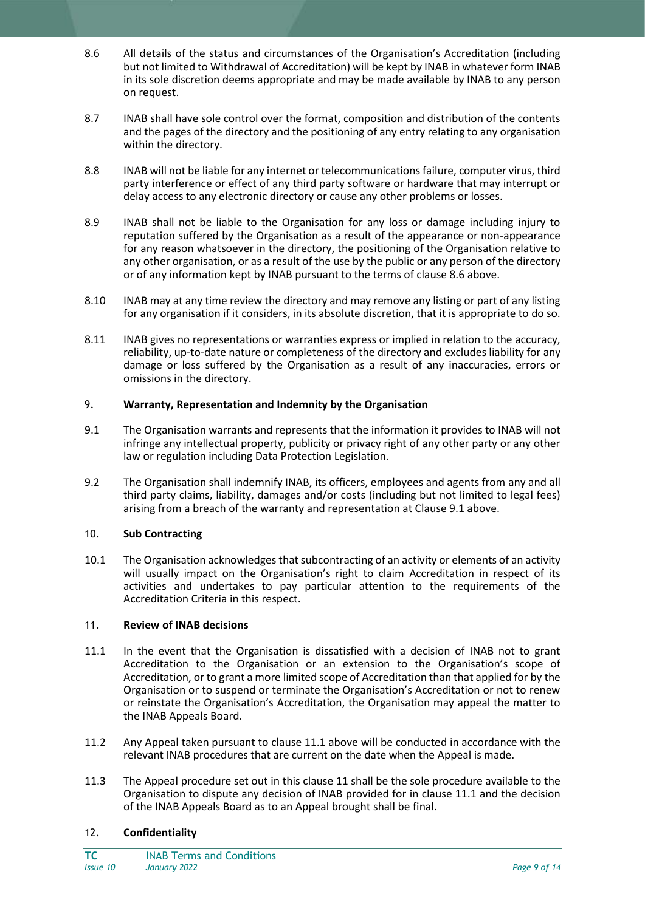- 8.6 All details of the status and circumstances of the Organisation's Accreditation (including but not limited to Withdrawal of Accreditation) will be kept by INAB in whatever form INAB in its sole discretion deems appropriate and may be made available by INAB to any person on request.
- 8.7 INAB shall have sole control over the format, composition and distribution of the contents and the pages of the directory and the positioning of any entry relating to any organisation within the directory.
- 8.8 INAB will not be liable for any internet or telecommunications failure, computer virus, third party interference or effect of any third party software or hardware that may interrupt or delay access to any electronic directory or cause any other problems or losses.
- 8.9 INAB shall not be liable to the Organisation for any loss or damage including injury to reputation suffered by the Organisation as a result of the appearance or non-appearance for any reason whatsoever in the directory, the positioning of the Organisation relative to any other organisation, or as a result of the use by the public or any person of the directory or of any information kept by INAB pursuant to the terms of clause 8.6 above.
- 8.10 INAB may at any time review the directory and may remove any listing or part of any listing for any organisation if it considers, in its absolute discretion, that it is appropriate to do so.
- 8.11 INAB gives no representations or warranties express or implied in relation to the accuracy, reliability, up-to-date nature or completeness of the directory and excludes liability for any damage or loss suffered by the Organisation as a result of any inaccuracies, errors or omissions in the directory.

## 9. **Warranty, Representation and Indemnity by the Organisation**

- 9.1 The Organisation warrants and represents that the information it provides to INAB will not infringe any intellectual property, publicity or privacy right of any other party or any other law or regulation including Data Protection Legislation.
- 9.2 The Organisation shall indemnify INAB, its officers, employees and agents from any and all third party claims, liability, damages and/or costs (including but not limited to legal fees) arising from a breach of the warranty and representation at Clause 9.1 above.

#### 10. **Sub Contracting**

10.1 The Organisation acknowledges that subcontracting of an activity or elements of an activity will usually impact on the Organisation's right to claim Accreditation in respect of its activities and undertakes to pay particular attention to the requirements of the Accreditation Criteria in this respect.

#### 11. **Review of INAB decisions**

- 11.1 In the event that the Organisation is dissatisfied with a decision of INAB not to grant Accreditation to the Organisation or an extension to the Organisation's scope of Accreditation, or to grant a more limited scope of Accreditation than that applied for by the Organisation or to suspend or terminate the Organisation's Accreditation or not to renew or reinstate the Organisation's Accreditation, the Organisation may appeal the matter to the INAB Appeals Board.
- 11.2 Any Appeal taken pursuant to clause 11.1 above will be conducted in accordance with the relevant INAB procedures that are current on the date when the Appeal is made.
- 11.3 The Appeal procedure set out in this clause 11 shall be the sole procedure available to the Organisation to dispute any decision of INAB provided for in clause 11.1 and the decision of the INAB Appeals Board as to an Appeal brought shall be final.

# 12. **Confidentiality**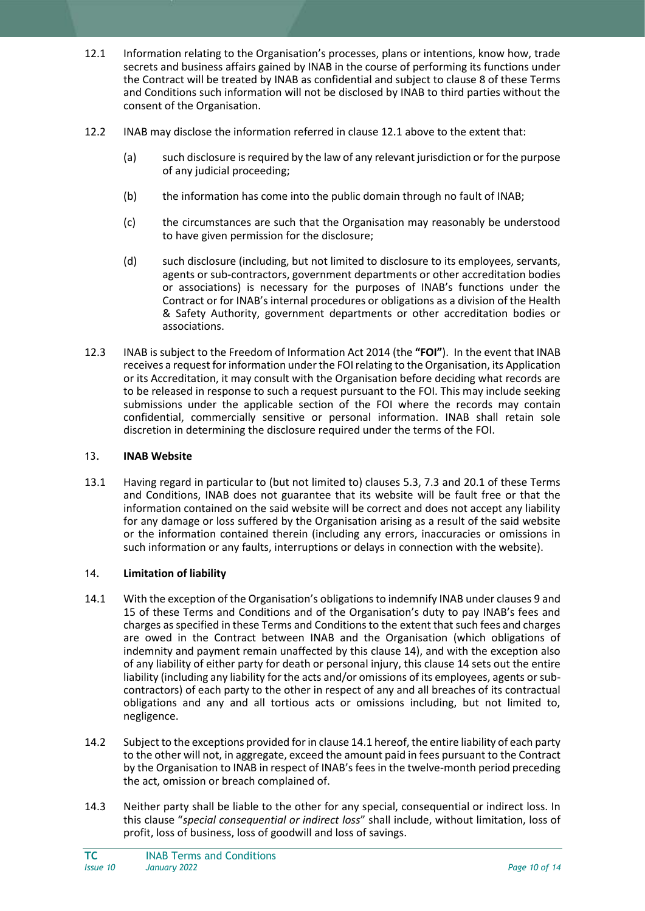- 12.1 Information relating to the Organisation's processes, plans or intentions, know how, trade secrets and business affairs gained by INAB in the course of performing its functions under the Contract will be treated by INAB as confidential and subject to clause 8 of these Terms and Conditions such information will not be disclosed by INAB to third parties without the consent of the Organisation.
- 12.2 INAB may disclose the information referred in clause 12.1 above to the extent that:
	- (a) such disclosure is required by the law of any relevant jurisdiction or for the purpose of any judicial proceeding;
	- (b) the information has come into the public domain through no fault of INAB;
	- (c) the circumstances are such that the Organisation may reasonably be understood to have given permission for the disclosure;
	- (d) such disclosure (including, but not limited to disclosure to its employees, servants, agents or sub-contractors, government departments or other accreditation bodies or associations) is necessary for the purposes of INAB's functions under the Contract or for INAB's internal procedures or obligations as a division of the Health & Safety Authority, government departments or other accreditation bodies or associations.
- 12.3 INAB is subject to the Freedom of Information Act 2014 (the **"FOI"**). In the event that INAB receives a request for information under the FOI relating to the Organisation, its Application or its Accreditation, it may consult with the Organisation before deciding what records are to be released in response to such a request pursuant to the FOI. This may include seeking submissions under the applicable section of the FOI where the records may contain confidential, commercially sensitive or personal information. INAB shall retain sole discretion in determining the disclosure required under the terms of the FOI.

#### 13. **INAB Website**

13.1 Having regard in particular to (but not limited to) clauses 5.3, 7.3 and 20.1 of these Terms and Conditions, INAB does not guarantee that its website will be fault free or that the information contained on the said website will be correct and does not accept any liability for any damage or loss suffered by the Organisation arising as a result of the said website or the information contained therein (including any errors, inaccuracies or omissions in such information or any faults, interruptions or delays in connection with the website).

#### 14. **Limitation of liability**

- 14.1 With the exception of the Organisation's obligations to indemnify INAB under clauses 9 and 15 of these Terms and Conditions and of the Organisation's duty to pay INAB's fees and charges as specified in these Terms and Conditions to the extent that such fees and charges are owed in the Contract between INAB and the Organisation (which obligations of indemnity and payment remain unaffected by this clause 14), and with the exception also of any liability of either party for death or personal injury, this clause 14 sets out the entire liability (including any liability for the acts and/or omissions of its employees, agents or subcontractors) of each party to the other in respect of any and all breaches of its contractual obligations and any and all tortious acts or omissions including, but not limited to, negligence.
- 14.2 Subject to the exceptions provided for in clause 14.1 hereof, the entire liability of each party to the other will not, in aggregate, exceed the amount paid in fees pursuant to the Contract by the Organisation to INAB in respect of INAB's fees in the twelve-month period preceding the act, omission or breach complained of.
- 14.3 Neither party shall be liable to the other for any special, consequential or indirect loss. In this clause "*special consequential or indirect loss*" shall include, without limitation, loss of profit, loss of business, loss of goodwill and loss of savings.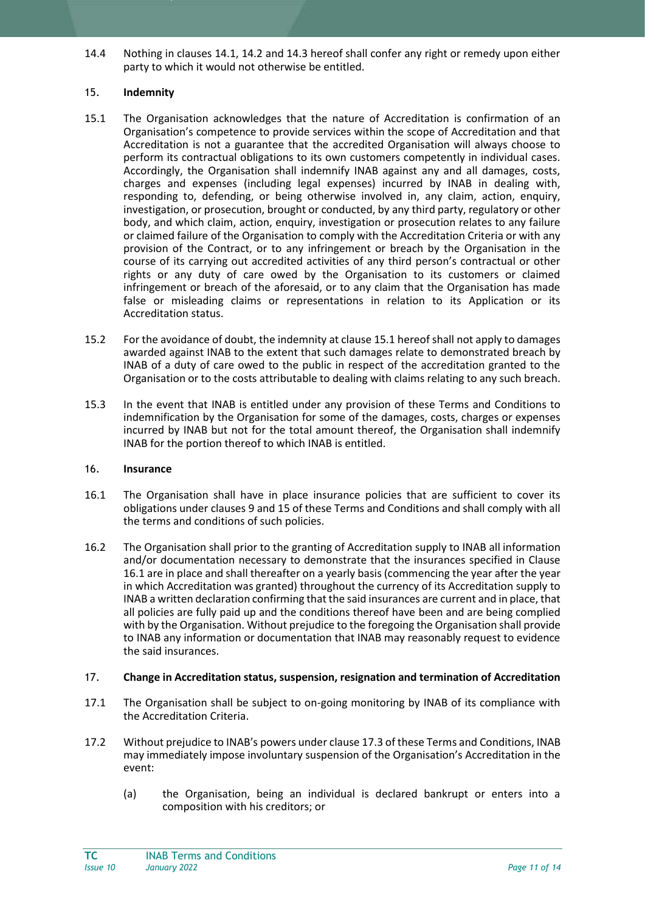14.4 Nothing in clauses 14.1, 14.2 and 14.3 hereof shall confer any right or remedy upon either party to which it would not otherwise be entitled.

## 15. **Indemnity**

- 15.1 The Organisation acknowledges that the nature of Accreditation is confirmation of an Organisation's competence to provide services within the scope of Accreditation and that Accreditation is not a guarantee that the accredited Organisation will always choose to perform its contractual obligations to its own customers competently in individual cases. Accordingly, the Organisation shall indemnify INAB against any and all damages, costs, charges and expenses (including legal expenses) incurred by INAB in dealing with, responding to, defending, or being otherwise involved in, any claim, action, enquiry, investigation, or prosecution, brought or conducted, by any third party, regulatory or other body, and which claim, action, enquiry, investigation or prosecution relates to any failure or claimed failure of the Organisation to comply with the Accreditation Criteria or with any provision of the Contract, or to any infringement or breach by the Organisation in the course of its carrying out accredited activities of any third person's contractual or other rights or any duty of care owed by the Organisation to its customers or claimed infringement or breach of the aforesaid, or to any claim that the Organisation has made false or misleading claims or representations in relation to its Application or its Accreditation status.
- 15.2 For the avoidance of doubt, the indemnity at clause 15.1 hereof shall not apply to damages awarded against INAB to the extent that such damages relate to demonstrated breach by INAB of a duty of care owed to the public in respect of the accreditation granted to the Organisation or to the costs attributable to dealing with claims relating to any such breach.
- 15.3 In the event that INAB is entitled under any provision of these Terms and Conditions to indemnification by the Organisation for some of the damages, costs, charges or expenses incurred by INAB but not for the total amount thereof, the Organisation shall indemnify INAB for the portion thereof to which INAB is entitled.

## 16. **Insurance**

- 16.1 The Organisation shall have in place insurance policies that are sufficient to cover its obligations under clauses 9 and 15 of these Terms and Conditions and shall comply with all the terms and conditions of such policies.
- 16.2 The Organisation shall prior to the granting of Accreditation supply to INAB all information and/or documentation necessary to demonstrate that the insurances specified in Clause 16.1 are in place and shall thereafter on a yearly basis (commencing the year after the year in which Accreditation was granted) throughout the currency of its Accreditation supply to INAB a written declaration confirming that the said insurances are current and in place, that all policies are fully paid up and the conditions thereof have been and are being complied with by the Organisation. Without prejudice to the foregoing the Organisation shall provide to INAB any information or documentation that INAB may reasonably request to evidence the said insurances.

# 17. **Change in Accreditation status, suspension, resignation and termination of Accreditation**

- 17.1 The Organisation shall be subject to on-going monitoring by INAB of its compliance with the Accreditation Criteria.
- 17.2 Without prejudice to INAB's powers under clause 17.3 of these Terms and Conditions, INAB may immediately impose involuntary suspension of the Organisation's Accreditation in the event:
	- (a) the Organisation, being an individual is declared bankrupt or enters into a composition with his creditors; or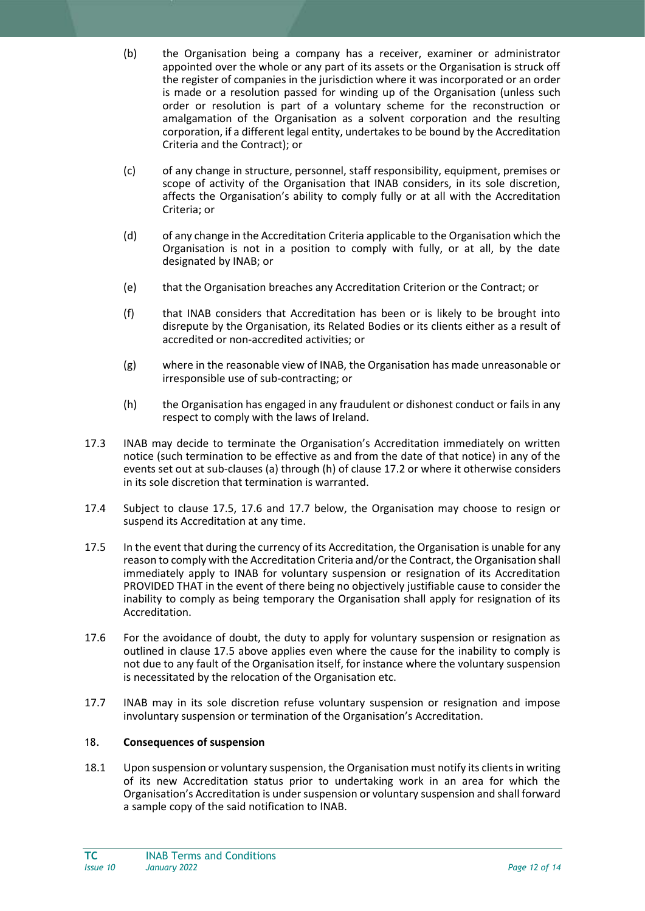- (b) the Organisation being a company has a receiver, examiner or administrator appointed over the whole or any part of its assets or the Organisation is struck off the register of companies in the jurisdiction where it was incorporated or an order is made or a resolution passed for winding up of the Organisation (unless such order or resolution is part of a voluntary scheme for the reconstruction or amalgamation of the Organisation as a solvent corporation and the resulting corporation, if a different legal entity, undertakes to be bound by the Accreditation Criteria and the Contract); or
- (c) of any change in structure, personnel, staff responsibility, equipment, premises or scope of activity of the Organisation that INAB considers, in its sole discretion, affects the Organisation's ability to comply fully or at all with the Accreditation Criteria; or
- (d) of any change in the Accreditation Criteria applicable to the Organisation which the Organisation is not in a position to comply with fully, or at all, by the date designated by INAB; or
- (e) that the Organisation breaches any Accreditation Criterion or the Contract; or
- (f) that INAB considers that Accreditation has been or is likely to be brought into disrepute by the Organisation, its Related Bodies or its clients either as a result of accredited or non-accredited activities; or
- (g) where in the reasonable view of INAB, the Organisation has made unreasonable or irresponsible use of sub-contracting; or
- (h) the Organisation has engaged in any fraudulent or dishonest conduct or fails in any respect to comply with the laws of Ireland.
- 17.3 INAB may decide to terminate the Organisation's Accreditation immediately on written notice (such termination to be effective as and from the date of that notice) in any of the events set out at sub-clauses (a) through (h) of clause 17.2 or where it otherwise considers in its sole discretion that termination is warranted.
- 17.4 Subject to clause 17.5, 17.6 and 17.7 below, the Organisation may choose to resign or suspend its Accreditation at any time.
- 17.5 In the event that during the currency of its Accreditation, the Organisation is unable for any reason to comply with the Accreditation Criteria and/or the Contract, the Organisation shall immediately apply to INAB for voluntary suspension or resignation of its Accreditation PROVIDED THAT in the event of there being no objectively justifiable cause to consider the inability to comply as being temporary the Organisation shall apply for resignation of its Accreditation.
- 17.6 For the avoidance of doubt, the duty to apply for voluntary suspension or resignation as outlined in clause 17.5 above applies even where the cause for the inability to comply is not due to any fault of the Organisation itself, for instance where the voluntary suspension is necessitated by the relocation of the Organisation etc.
- 17.7 INAB may in its sole discretion refuse voluntary suspension or resignation and impose involuntary suspension or termination of the Organisation's Accreditation.

#### 18. **Consequences of suspension**

18.1 Upon suspension or voluntary suspension, the Organisation must notify its clients in writing of its new Accreditation status prior to undertaking work in an area for which the Organisation's Accreditation is under suspension or voluntary suspension and shall forward a sample copy of the said notification to INAB.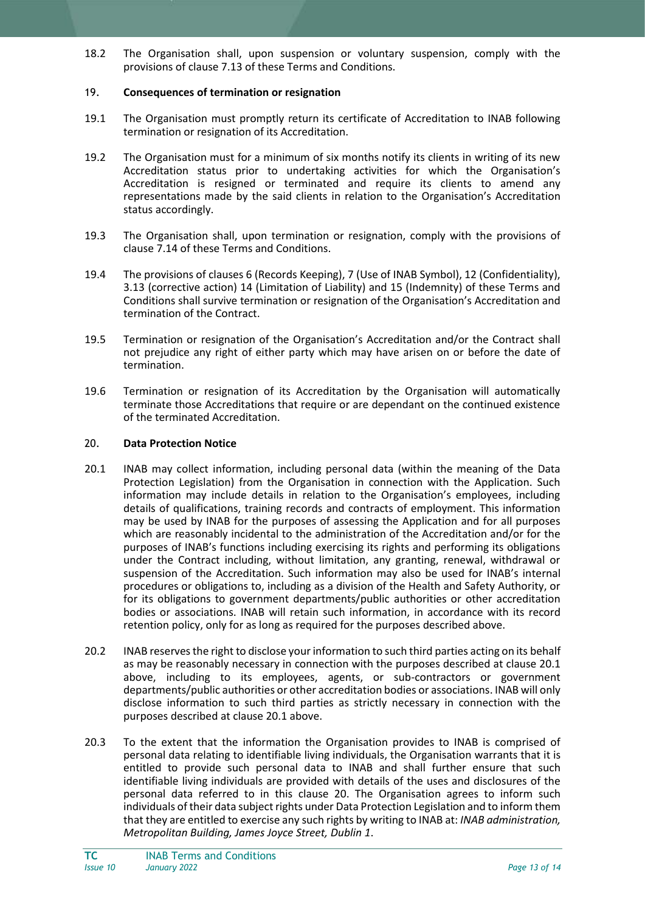18.2 The Organisation shall, upon suspension or voluntary suspension, comply with the provisions of clause 7.13 of these Terms and Conditions.

#### 19. **Consequences of termination or resignation**

- 19.1 The Organisation must promptly return its certificate of Accreditation to INAB following termination or resignation of its Accreditation.
- 19.2 The Organisation must for a minimum of six months notify its clients in writing of its new Accreditation status prior to undertaking activities for which the Organisation's Accreditation is resigned or terminated and require its clients to amend any representations made by the said clients in relation to the Organisation's Accreditation status accordingly.
- 19.3 The Organisation shall, upon termination or resignation, comply with the provisions of clause 7.14 of these Terms and Conditions.
- 19.4 The provisions of clauses 6 (Records Keeping), 7 (Use of INAB Symbol), 12 (Confidentiality), 3.13 (corrective action) 14 (Limitation of Liability) and 15 (Indemnity) of these Terms and Conditions shall survive termination or resignation of the Organisation's Accreditation and termination of the Contract.
- 19.5 Termination or resignation of the Organisation's Accreditation and/or the Contract shall not prejudice any right of either party which may have arisen on or before the date of termination.
- 19.6 Termination or resignation of its Accreditation by the Organisation will automatically terminate those Accreditations that require or are dependant on the continued existence of the terminated Accreditation.

#### 20. **Data Protection Notice**

- 20.1 INAB may collect information, including personal data (within the meaning of the Data Protection Legislation) from the Organisation in connection with the Application. Such information may include details in relation to the Organisation's employees, including details of qualifications, training records and contracts of employment. This information may be used by INAB for the purposes of assessing the Application and for all purposes which are reasonably incidental to the administration of the Accreditation and/or for the purposes of INAB's functions including exercising its rights and performing its obligations under the Contract including, without limitation, any granting, renewal, withdrawal or suspension of the Accreditation. Such information may also be used for INAB's internal procedures or obligations to, including as a division of the Health and Safety Authority, or for its obligations to government departments/public authorities or other accreditation bodies or associations. INAB will retain such information, in accordance with its record retention policy, only for as long as required for the purposes described above.
- 20.2 INAB reserves the right to disclose your information to such third parties acting on its behalf as may be reasonably necessary in connection with the purposes described at clause 20.1 above, including to its employees, agents, or sub-contractors or government departments/public authorities or other accreditation bodies or associations. INAB will only disclose information to such third parties as strictly necessary in connection with the purposes described at clause 20.1 above.
- 20.3 To the extent that the information the Organisation provides to INAB is comprised of personal data relating to identifiable living individuals, the Organisation warrants that it is entitled to provide such personal data to INAB and shall further ensure that such identifiable living individuals are provided with details of the uses and disclosures of the personal data referred to in this clause 20. The Organisation agrees to inform such individuals of their data subject rights under Data Protection Legislation and to inform them that they are entitled to exercise any such rights by writing to INAB at: *INAB administration, Metropolitan Building, James Joyce Street, Dublin 1*.